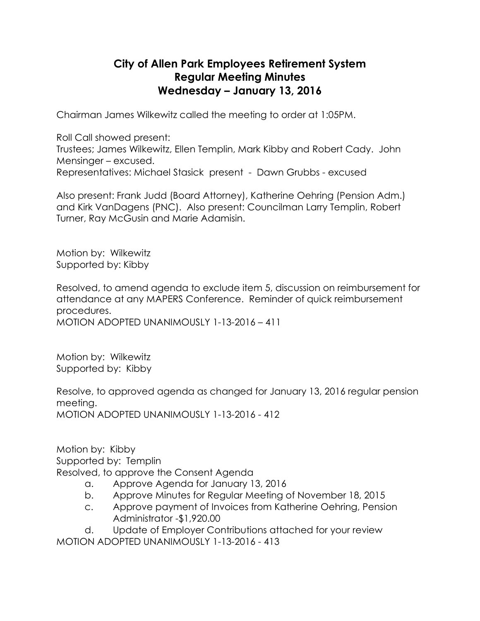## **City of Allen Park Employees Retirement System Regular Meeting Minutes Wednesday – January 13, 2016**

Chairman James Wilkewitz called the meeting to order at 1:05PM.

Roll Call showed present:

Trustees; James Wilkewitz, Ellen Templin, Mark Kibby and Robert Cady. John Mensinger – excused.

Representatives: Michael Stasick present - Dawn Grubbs - excused

Also present: Frank Judd (Board Attorney), Katherine Oehring (Pension Adm.) and Kirk VanDagens (PNC). Also present: Councilman Larry Templin, Robert Turner, Ray McGusin and Marie Adamisin.

Motion by: Wilkewitz Supported by: Kibby

Resolved, to amend agenda to exclude item 5, discussion on reimbursement for attendance at any MAPERS Conference. Reminder of quick reimbursement procedures. MOTION ADOPTED UNANIMOUSLY 1-13-2016 – 411

Motion by: Wilkewitz Supported by: Kibby

Resolve, to approved agenda as changed for January 13, 2016 regular pension meeting. MOTION ADOPTED UNANIMOUSLY 1-13-2016 - 412

Motion by: Kibby Supported by: Templin Resolved, to approve the Consent Agenda

- a. Approve Agenda for January 13, 2016
- b. Approve Minutes for Regular Meeting of November 18, 2015
- c. Approve payment of Invoices from Katherine Oehring, Pension Administrator -\$1,920.00

d. Update of Employer Contributions attached for your review MOTION ADOPTED UNANIMOUSLY 1-13-2016 - 413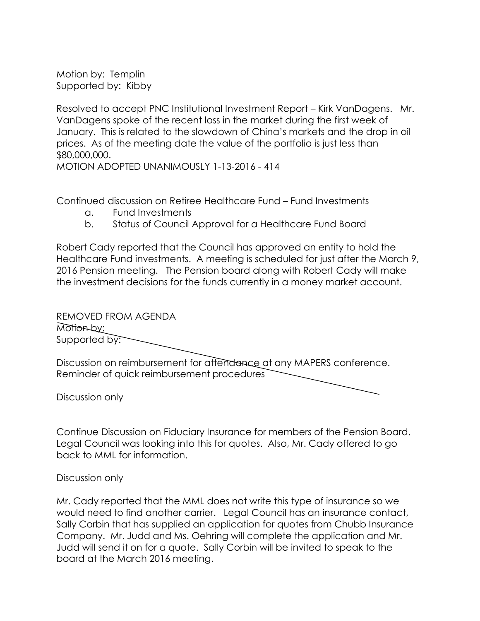Motion by: Templin Supported by: Kibby

Resolved to accept PNC Institutional Investment Report – Kirk VanDagens. Mr. VanDagens spoke of the recent loss in the market during the first week of January. This is related to the slowdown of China's markets and the drop in oil prices. As of the meeting date the value of the portfolio is just less than \$80,000,000.

MOTION ADOPTED UNANIMOUSLY 1-13-2016 - 414

Continued discussion on Retiree Healthcare Fund – Fund Investments

- a. Fund Investments
- b. Status of Council Approval for a Healthcare Fund Board

Robert Cady reported that the Council has approved an entity to hold the Healthcare Fund investments. A meeting is scheduled for just after the March 9, 2016 Pension meeting. The Pension board along with Robert Cady will make the investment decisions for the funds currently in a money market account.

REMOVED FROM AGENDA Motion by: Supported by:

Discussion on reimbursement for attendance at any MAPERS conference. Reminder of quick reimbursement procedures

Discussion only

Continue Discussion on Fiduciary Insurance for members of the Pension Board. Legal Council was looking into this for quotes. Also, Mr. Cady offered to go back to MML for information.

Discussion only

Mr. Cady reported that the MML does not write this type of insurance so we would need to find another carrier. Legal Council has an insurance contact, Sally Corbin that has supplied an application for quotes from Chubb Insurance Company. Mr. Judd and Ms. Oehring will complete the application and Mr. Judd will send it on for a quote. Sally Corbin will be invited to speak to the board at the March 2016 meeting.